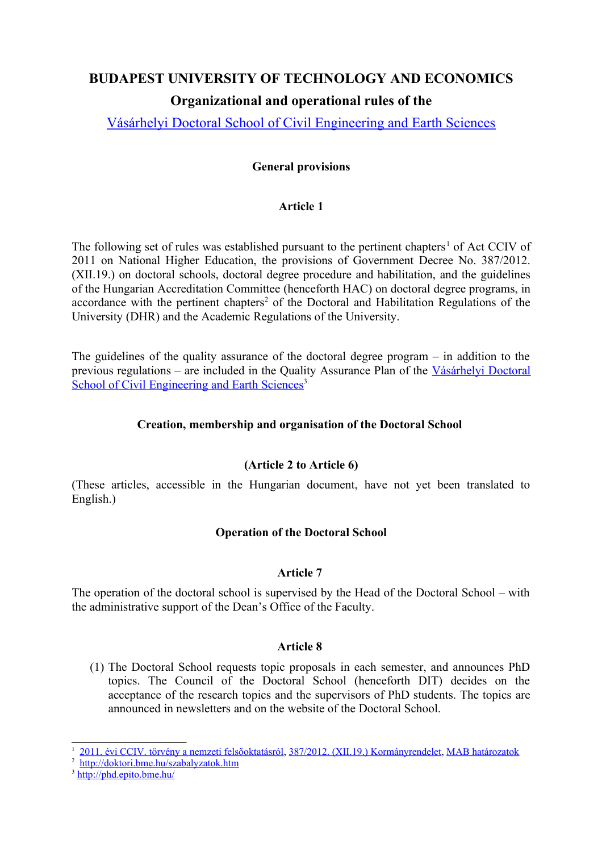# **BUDAPEST UNIVERSITY OF TECHNOLOGY AND ECONOMICS Organizational and operational rules of the**

Vásárhelyi Doctoral School of Civil Engineering and Earth Sciences

# **General provisions**

# **Article 1**

The following set of rules was established pursuant to the pertinent chapters<sup>1</sup> of Act CCIV of 2011 on National Higher Education, the provisions of Government Decree No. 387/2012. (XII.19.) on doctoral schools, doctoral degree procedure and habilitation, and the guidelines of the Hungarian Accreditation Committee (henceforth HAC) on doctoral degree programs, in accordance with the pertinent chapters<sup>2</sup> of the Doctoral and Habilitation Regulations of the University (DHR) and the Academic Regulations of the University.

The guidelines of the quality assurance of the doctoral degree program – in addition to the previous regulations – are included in the Quality Assurance Plan of the Vásárhelyi Doctoral School of Civil Engineering and Earth Sciences<sup>3.</sup>

# **Creation, membership and organisation of the Doctoral School**

# **(Article 2 to Article 6)**

(These articles, accessible in the Hungarian document, have not yet been translated to English.)

# **Operation of the Doctoral School**

# **Article 7**

The operation of the doctoral school is supervised by the Head of the Doctoral School – with the administrative support of the Dean's Office of the Faculty.

# **Article 8**

(1) The Doctoral School requests topic proposals in each semester, and announces PhD topics. The Council of the Doctoral School (henceforth DIT) decides on the acceptance of the research topics and the supervisors of PhD students. The topics are announced in newsletters and on the website of the Doctoral School.

<sup>1</sup> 2011. évi CCIV. törvény a nemzeti felsőoktatásról, 387/2012. (XII.19.) Kormányrendelet, MAB határozatok

<sup>&</sup>lt;sup>2</sup> http://doktori.bme.hu/szabalyzatok.htm

<sup>&</sup>lt;sup>3</sup> http://phd.epito.bme.hu/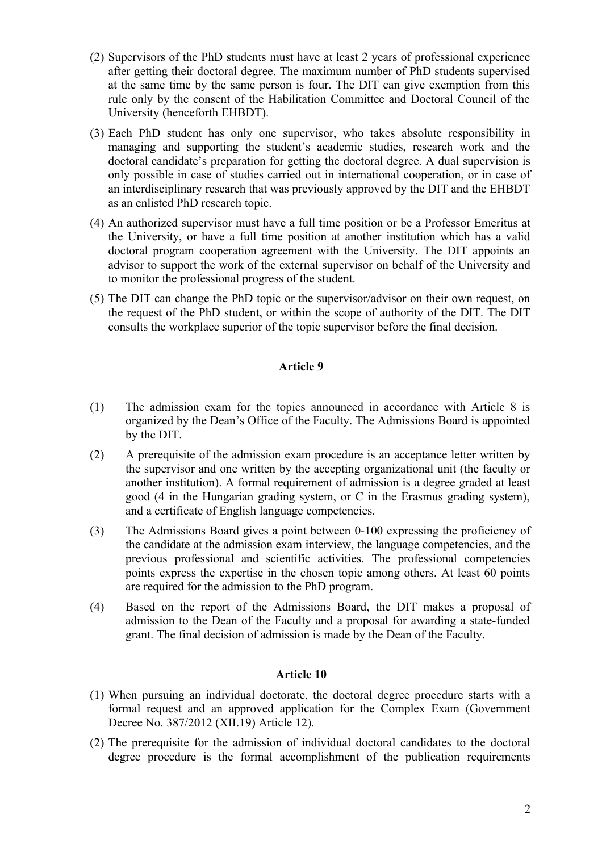- (2) Supervisors of the PhD students must have at least 2 years of professional experience after getting their doctoral degree. The maximum number of PhD students supervised at the same time by the same person is four. The DIT can give exemption from this rule only by the consent of the Habilitation Committee and Doctoral Council of the University (henceforth EHBDT).
- (3) Each PhD student has only one supervisor, who takes absolute responsibility in managing and supporting the student's academic studies, research work and the doctoral candidate's preparation for getting the doctoral degree. A dual supervision is only possible in case of studies carried out in international cooperation, or in case of an interdisciplinary research that was previously approved by the DIT and the EHBDT as an enlisted PhD research topic.
- (4) An authorized supervisor must have a full time position or be a Professor Emeritus at the University, or have a full time position at another institution which has a valid doctoral program cooperation agreement with the University. The DIT appoints an advisor to support the work of the external supervisor on behalf of the University and to monitor the professional progress of the student.
- (5) The DIT can change the PhD topic or the supervisor/advisor on their own request, on the request of the PhD student, or within the scope of authority of the DIT. The DIT consults the workplace superior of the topic supervisor before the final decision.

# **Article 9**

- (1) The admission exam for the topics announced in accordance with Article 8 is organized by the Dean's Office of the Faculty. The Admissions Board is appointed by the DIT.
- (2) A prerequisite of the admission exam procedure is an acceptance letter written by the supervisor and one written by the accepting organizational unit (the faculty or another institution). A formal requirement of admission is a degree graded at least good (4 in the Hungarian grading system, or C in the Erasmus grading system), and a certificate of English language competencies.
- (3) The Admissions Board gives a point between 0-100 expressing the proficiency of the candidate at the admission exam interview, the language competencies, and the previous professional and scientific activities. The professional competencies points express the expertise in the chosen topic among others. At least 60 points are required for the admission to the PhD program.
- (4) Based on the report of the Admissions Board, the DIT makes a proposal of admission to the Dean of the Faculty and a proposal for awarding a state-funded grant. The final decision of admission is made by the Dean of the Faculty.

### **Article 10**

- (1) When pursuing an individual doctorate, the doctoral degree procedure starts with a formal request and an approved application for the Complex Exam (Government Decree No. 387/2012 (XII.19) Article 12).
- (2) The prerequisite for the admission of individual doctoral candidates to the doctoral degree procedure is the formal accomplishment of the publication requirements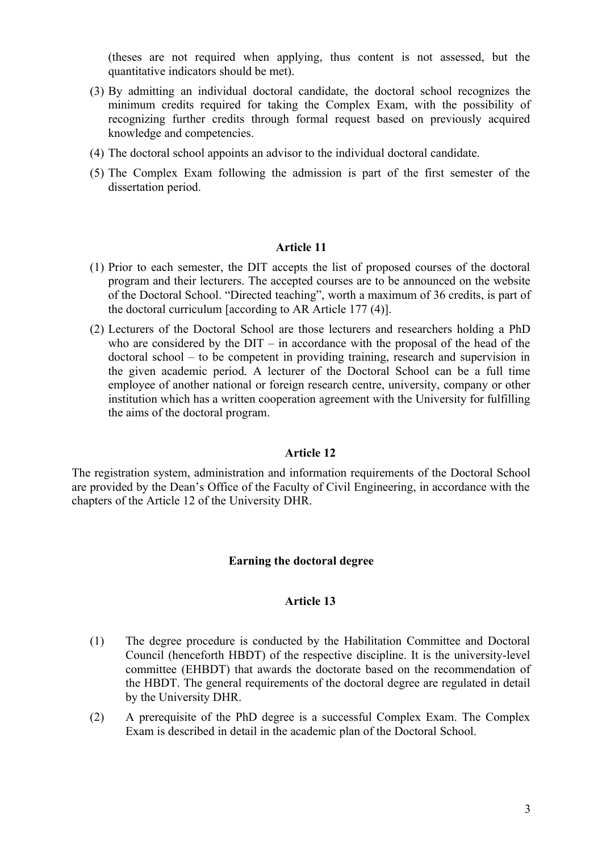(theses are not required when applying, thus content is not assessed, but the quantitative indicators should be met).

- (3) By admitting an individual doctoral candidate, the doctoral school recognizes the minimum credits required for taking the Complex Exam, with the possibility of recognizing further credits through formal request based on previously acquired knowledge and competencies.
- (4) The doctoral school appoints an advisor to the individual doctoral candidate.
- (5) The Complex Exam following the admission is part of the first semester of the dissertation period.

#### **Article 11**

- (1) Prior to each semester, the DIT accepts the list of proposed courses of the doctoral program and their lecturers. The accepted courses are to be announced on the website of the Doctoral School. "Directed teaching", worth a maximum of 36 credits, is part of the doctoral curriculum [according to AR Article 177 (4)].
- (2) Lecturers of the Doctoral School are those lecturers and researchers holding a PhD who are considered by the  $DIT - in accordance with the proposal of the head of the$ doctoral school – to be competent in providing training, research and supervision in the given academic period. A lecturer of the Doctoral School can be a full time employee of another national or foreign research centre, university, company or other institution which has a written cooperation agreement with the University for fulfilling the aims of the doctoral program.

#### **Article 12**

The registration system, administration and information requirements of the Doctoral School are provided by the Dean's Office of the Faculty of Civil Engineering, in accordance with the chapters of the Article 12 of the University DHR.

#### **Earning the doctoral degree**

#### **Article 13**

- (1) The degree procedure is conducted by the Habilitation Committee and Doctoral Council (henceforth HBDT) of the respective discipline. It is the university-level committee (EHBDT) that awards the doctorate based on the recommendation of the HBDT. The general requirements of the doctoral degree are regulated in detail by the University DHR.
- (2) A prerequisite of the PhD degree is a successful Complex Exam. The Complex Exam is described in detail in the academic plan of the Doctoral School.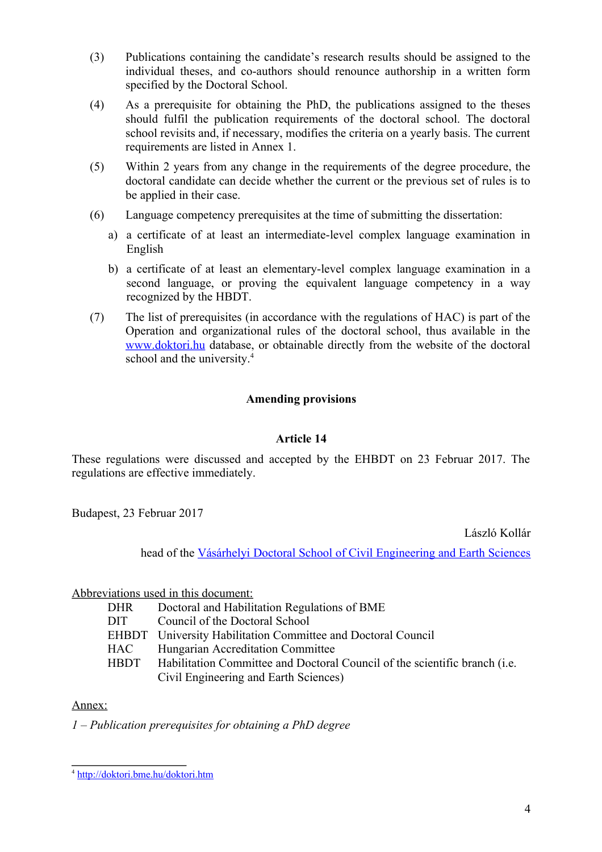- (3) Publications containing the candidate's research results should be assigned to the individual theses, and co-authors should renounce authorship in a written form specified by the Doctoral School.
- (4) As a prerequisite for obtaining the PhD, the publications assigned to the theses should fulfil the publication requirements of the doctoral school. The doctoral school revisits and, if necessary, modifies the criteria on a yearly basis. The current requirements are listed in Annex 1.
- (5) Within 2 years from any change in the requirements of the degree procedure, the doctoral candidate can decide whether the current or the previous set of rules is to be applied in their case.
- (6) Language competency prerequisites at the time of submitting the dissertation:
	- a) a certificate of at least an intermediate-level complex language examination in English
	- b) a certificate of at least an elementary-level complex language examination in a second language, or proving the equivalent language competency in a way recognized by the HBDT.
- (7) The list of prerequisites (in accordance with the regulations of HAC) is part of the Operation and organizational rules of the doctoral school, thus available in the www.doktori.hu database, or obtainable directly from the website of the doctoral school and the university.<sup>4</sup>

# **Amending provisions**

# **Article 14**

These regulations were discussed and accepted by the EHBDT on 23 Februar 2017. The regulations are effective immediately.

Budapest, 23 Februar 2017

László Kollár

head of the Vásárhelyi Doctoral School of Civil Engineering and Earth Sciences

Abbreviations used in this document:

- DHR Doctoral and Habilitation Regulations of BME
- DIT Council of the Doctoral School
- EHBDT University Habilitation Committee and Doctoral Council
- HAC Hungarian Accreditation Committee
- HBDT Habilitation Committee and Doctoral Council of the scientific branch (i.e. Civil Engineering and Earth Sciences)

Annex:

*1 – Publication prerequisites for obtaining a PhD degree*

<sup>&</sup>lt;sup>4</sup> http://doktori.bme.hu/doktori.htm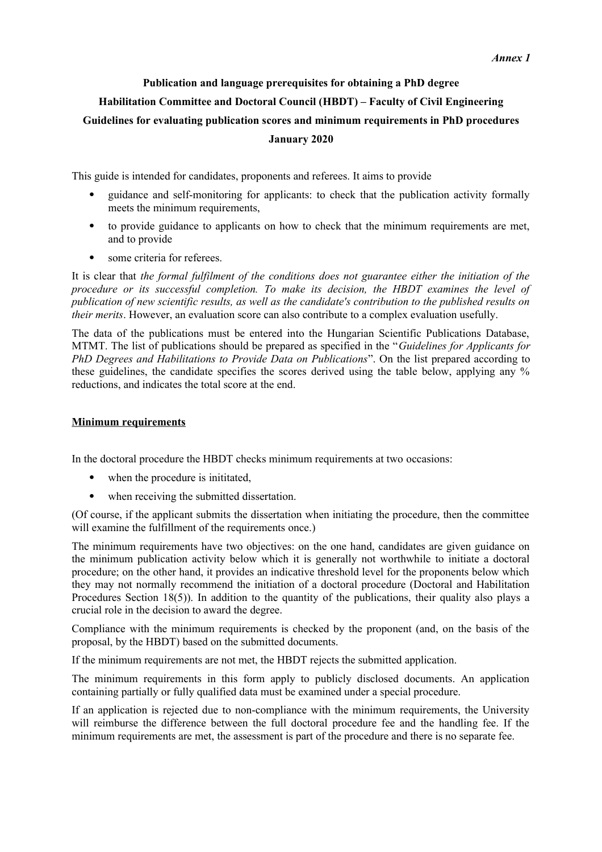# **Publication and language prerequisites for obtaining a PhD degree Habilitation Committee and Doctoral Council (HBDT) – Faculty of Civil Engineering Guidelines for evaluating publication scores and minimum requirements in PhD procedures January 2020**

This guide is intended for candidates, proponents and referees. It aims to provide

- guidance and self-monitoring for applicants: to check that the publication activity formally meets the minimum requirements,
- to provide guidance to applicants on how to check that the minimum requirements are met, and to provide
- some criteria for referees.

It is clear that *the formal fulfilment of the conditions does not guarantee either the initiation of the procedure or its successful completion. To make its decision, the HBDT examines the level of publication of new scientific results, as well as the candidate's contribution to the published results on their merits*. However, an evaluation score can also contribute to a complex evaluation usefully.

The data of the publications must be entered into the Hungarian Scientific Publications Database, MTMT. The list of publications should be prepared as specified in the "*Guidelines for Applicants for PhD Degrees and Habilitations to Provide Data on Publications*". On the list prepared according to these guidelines, the candidate specifies the scores derived using the table below, applying any % reductions, and indicates the total score at the end.

#### **Minimum requirements**

In the doctoral procedure the HBDT checks minimum requirements at two occasions:

- when the procedure is initiated.
- when receiving the submitted dissertation.

(Of course, if the applicant submits the dissertation when initiating the procedure, then the committee will examine the fulfillment of the requirements once.)

The minimum requirements have two objectives: on the one hand, candidates are given guidance on the minimum publication activity below which it is generally not worthwhile to initiate a doctoral procedure; on the other hand, it provides an indicative threshold level for the proponents below which they may not normally recommend the initiation of a doctoral procedure (Doctoral and Habilitation Procedures Section 18(5)). In addition to the quantity of the publications, their quality also plays a crucial role in the decision to award the degree.

Compliance with the minimum requirements is checked by the proponent (and, on the basis of the proposal, by the HBDT) based on the submitted documents.

If the minimum requirements are not met, the HBDT rejects the submitted application.

The minimum requirements in this form apply to publicly disclosed documents. An application containing partially or fully qualified data must be examined under a special procedure.

If an application is rejected due to non-compliance with the minimum requirements, the University will reimburse the difference between the full doctoral procedure fee and the handling fee. If the minimum requirements are met, the assessment is part of the procedure and there is no separate fee.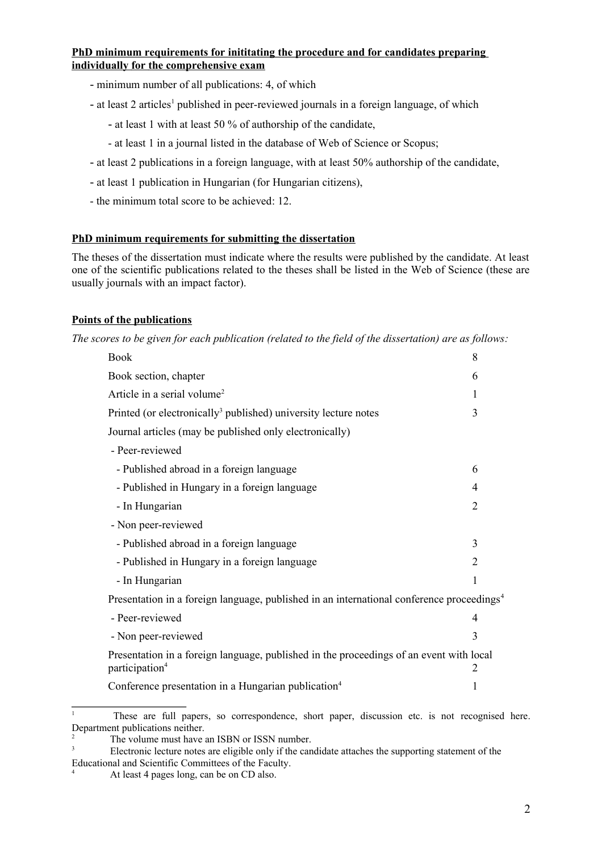#### **PhD minimum requirements for inititating the procedure and for candidates preparing individually for the comprehensive exam**

- minimum number of all publications: 4, of which
- at least 2 articles<sup>1</sup> published in peer-reviewed journals in a foreign language, of which
	- at least 1 with at least 50 % of authorship of the candidate,
	- at least 1 in a journal listed in the database of Web of Science or Scopus;
- at least 2 publications in a foreign language, with at least 50% authorship of the candidate,
- at least 1 publication in Hungarian (for Hungarian citizens),
- the minimum total score to be achieved: 12.

#### **PhD minimum requirements for submitting the dissertation**

The theses of the dissertation must indicate where the results were published by the candidate. At least one of the scientific publications related to the theses shall be listed in the Web of Science (these are usually journals with an impact factor).

#### **Points of the publications**

*The scores to be given for each publication (related to the field of the dissertation) are as follows:* 

| <b>Book</b>                                                                                                                | 8              |  |
|----------------------------------------------------------------------------------------------------------------------------|----------------|--|
| Book section, chapter                                                                                                      | 6              |  |
| Article in a serial volume <sup>2</sup>                                                                                    | 1              |  |
| Printed (or electronically <sup>3</sup> published) university lecture notes                                                | 3              |  |
| Journal articles (may be published only electronically)                                                                    |                |  |
| - Peer-reviewed                                                                                                            |                |  |
| - Published abroad in a foreign language                                                                                   | 6              |  |
| - Published in Hungary in a foreign language                                                                               | 4              |  |
| - In Hungarian                                                                                                             | $\overline{2}$ |  |
| - Non peer-reviewed                                                                                                        |                |  |
| - Published abroad in a foreign language                                                                                   | 3              |  |
| - Published in Hungary in a foreign language                                                                               | $\overline{2}$ |  |
| - In Hungarian                                                                                                             | 1              |  |
| Presentation in a foreign language, published in an international conference proceedings <sup>4</sup>                      |                |  |
| - Peer-reviewed                                                                                                            | 4              |  |
| - Non peer-reviewed                                                                                                        | 3              |  |
| Presentation in a foreign language, published in the proceedings of an event with local<br>participation <sup>4</sup><br>2 |                |  |
| Conference presentation in a Hungarian publication <sup>4</sup>                                                            | 1              |  |
|                                                                                                                            |                |  |

<sup>1</sup> These are full papers, so correspondence, short paper, discussion etc. is not recognised here. Department publications neither.

3 Electronic lecture notes are eligible only if the candidate attaches the supporting statement of the Educational and Scientific Committees of the Faculty.

The volume must have an ISBN or ISSN number.

At least 4 pages long, can be on CD also.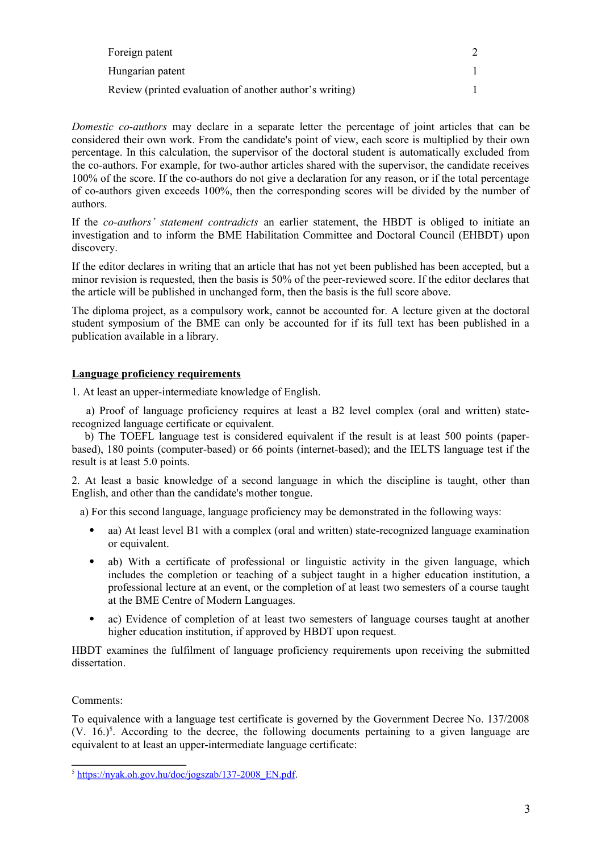| Foreign patent                                          |  |
|---------------------------------------------------------|--|
| Hungarian patent                                        |  |
| Review (printed evaluation of another author's writing) |  |

*Domestic co-authors* may declare in a separate letter the percentage of joint articles that can be considered their own work. From the candidate's point of view, each score is multiplied by their own percentage. In this calculation, the supervisor of the doctoral student is automatically excluded from the co-authors. For example, for two-author articles shared with the supervisor, the candidate receives 100% of the score. If the co-authors do not give a declaration for any reason, or if the total percentage of co-authors given exceeds 100%, then the corresponding scores will be divided by the number of authors.

If the *co-authors' statement contradicts* an earlier statement, the HBDT is obliged to initiate an investigation and to inform the BME Habilitation Committee and Doctoral Council (EHBDT) upon discovery.

If the editor declares in writing that an article that has not yet been published has been accepted, but a minor revision is requested, then the basis is 50% of the peer-reviewed score. If the editor declares that the article will be published in unchanged form, then the basis is the full score above.

The diploma project, as a compulsory work, cannot be accounted for. A lecture given at the doctoral student symposium of the BME can only be accounted for if its full text has been published in a publication available in a library.

#### **Language proficiency requirements**

1. At least an upper-intermediate knowledge of English.

 a) Proof of language proficiency requires at least a B2 level complex (oral and written) staterecognized language certificate or equivalent.

 b) The TOEFL language test is considered equivalent if the result is at least 500 points (paperbased), 180 points (computer-based) or 66 points (internet-based); and the IELTS language test if the result is at least 5.0 points.

2. At least a basic knowledge of a second language in which the discipline is taught, other than English, and other than the candidate's mother tongue.

a) For this second language, language proficiency may be demonstrated in the following ways:

- aa) At least level B1 with a complex (oral and written) state-recognized language examination or equivalent.
- ab) With a certificate of professional or linguistic activity in the given language, which includes the completion or teaching of a subject taught in a higher education institution, a professional lecture at an event, or the completion of at least two semesters of a course taught at the BME Centre of Modern Languages.
- ac) Evidence of completion of at least two semesters of language courses taught at another higher education institution, if approved by HBDT upon request.

HBDT examines the fulfilment of language proficiency requirements upon receiving the submitted dissertation.

Comments:

To equivalence with a language test certificate is governed by the Government Decree No. 137/2008  $(V. 16.)<sup>5</sup>$ . According to the decree, the following documents pertaining to a given language are equivalent to at least an upper-intermediate language certificate:

<sup>&</sup>lt;sup>5</sup> https://nyak.oh.gov.hu/doc/jogszab/137-2008\_EN.pdf.